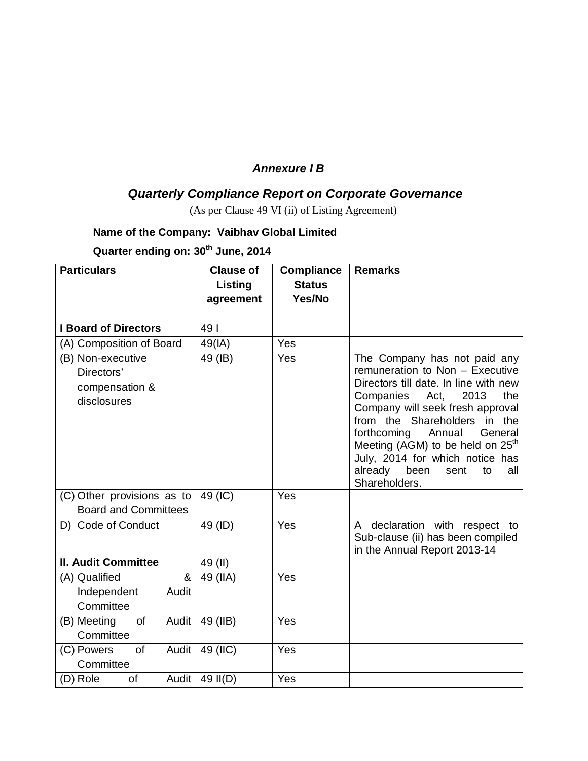### *Annexure I B*

# *Quarterly Compliance Report on Corporate Governance*

(As per Clause 49 VI (ii) of Listing Agreement)

#### **Name of the Company: Vaibhav Global Limited**

**Quarter ending on: 30th June, 2014**

| <b>Particulars</b>                     | <b>Clause of</b> | <b>Compliance</b> | <b>Remarks</b>                                               |
|----------------------------------------|------------------|-------------------|--------------------------------------------------------------|
|                                        | Listing          | <b>Status</b>     |                                                              |
|                                        | agreement        | Yes/No            |                                                              |
|                                        |                  |                   |                                                              |
| <b>I Board of Directors</b>            | 491              |                   |                                                              |
| (A) Composition of Board               | 49(IA)           | Yes               |                                                              |
| (B) Non-executive                      | 49 (IB)          | Yes               | The Company has not paid any                                 |
| Directors'                             |                  |                   | remuneration to Non - Executive                              |
| compensation &                         |                  |                   | Directors till date. In line with new<br>Act,<br>2013<br>the |
| disclosures                            |                  |                   | Companies<br>Company will seek fresh approval                |
|                                        |                  |                   | from the Shareholders<br>in the                              |
|                                        |                  |                   | forthcoming<br>Annual<br>General                             |
|                                        |                  |                   | Meeting (AGM) to be held on 25 <sup>th</sup>                 |
|                                        |                  |                   | July, 2014 for which notice has                              |
|                                        |                  |                   | already<br>been<br>sent<br>to<br>all<br>Shareholders.        |
| (C) Other provisions as to             | 49 (IC)          | Yes               |                                                              |
| <b>Board and Committees</b>            |                  |                   |                                                              |
| D) Code of Conduct                     | 49 (ID)          | Yes               | declaration with respect to<br>A                             |
|                                        |                  |                   | Sub-clause (ii) has been compiled                            |
|                                        |                  |                   | in the Annual Report 2013-14                                 |
| <b>II. Audit Committee</b>             | 49 (II)          |                   |                                                              |
| $\boldsymbol{\alpha}$<br>(A) Qualified | 49 (IIA)         | Yes               |                                                              |
| Independent<br>Audit                   |                  |                   |                                                              |
| Committee                              |                  |                   |                                                              |
| of<br>(B) Meeting<br>Audit             | 49 (IIB)         | Yes               |                                                              |
| Committee                              |                  |                   |                                                              |
| (C) Powers<br><b>of</b><br>Audit       | 49 (IIC)         | Yes               |                                                              |
| Committee                              |                  |                   |                                                              |
| Audit<br>(D) Role<br>of                | 49 II(D)         | Yes               |                                                              |